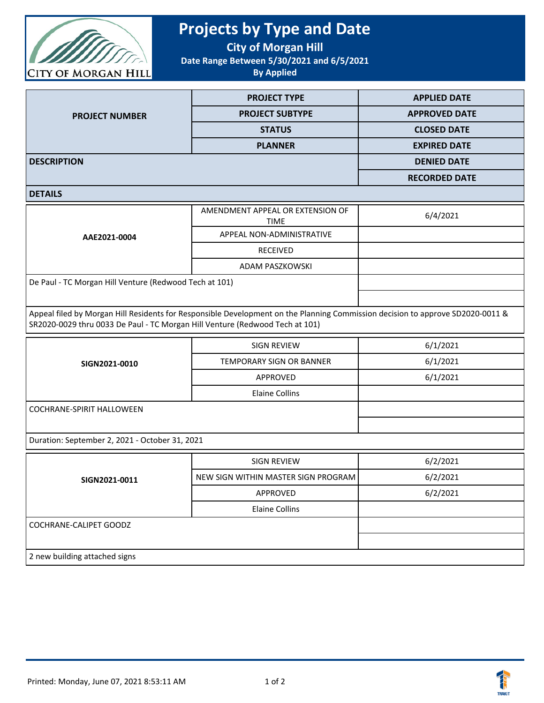

## **Projects by Type and Date**

**City of Morgan Hill**

**Date Range Between 5/30/2021 and 6/5/2021**

**By Applied**

|                       | <b>PROJECT TYPE</b>    | <b>APPLIED DATE</b>  |
|-----------------------|------------------------|----------------------|
| <b>PROJECT NUMBER</b> | <b>PROJECT SUBTYPE</b> | <b>APPROVED DATE</b> |
|                       | <b>STATUS</b>          | <b>CLOSED DATE</b>   |
|                       | <b>PLANNER</b>         | <b>EXPIRED DATE</b>  |
| <b>DESCRIPTION</b>    |                        | <b>DENIED DATE</b>   |
|                       |                        | <b>RECORDED DATE</b> |

**DETAILS**

| AAE2021-0004                                           | AMENDMENT APPEAL OR EXTENSION OF<br><b>TIME</b> | 6/4/2021 |
|--------------------------------------------------------|-------------------------------------------------|----------|
|                                                        | APPEAL NON-ADMINISTRATIVE                       |          |
|                                                        | <b>RECEIVED</b>                                 |          |
|                                                        | ADAM PASZKOWSKI                                 |          |
| De Paul - TC Morgan Hill Venture (Redwood Tech at 101) |                                                 |          |
|                                                        |                                                 |          |

Appeal filed by Morgan Hill Residents for Responsible Development on the Planning Commission decision to approve SD2020-0011 & SR2020-0029 thru 0033 De Paul - TC Morgan Hill Venture (Redwood Tech at 101)

| SIGN2021-0010             | <b>SIGN REVIEW</b>       | 6/1/2021 |
|---------------------------|--------------------------|----------|
|                           | TEMPORARY SIGN OR BANNER | 6/1/2021 |
|                           | APPROVED                 | 6/1/2021 |
|                           | Elaine Collins           |          |
| COCHRANE-SPIRIT HALLOWEEN |                          |          |
|                           |                          |          |

Duration: September 2, 2021 - October 31, 2021

| SIGN2021-0011                 | SIGN REVIEW                         | 6/2/2021 |
|-------------------------------|-------------------------------------|----------|
|                               | NEW SIGN WITHIN MASTER SIGN PROGRAM | 6/2/2021 |
|                               | APPROVED                            | 6/2/2021 |
|                               | Elaine Collins                      |          |
| COCHRANE-CALIPET GOODZ        |                                     |          |
|                               |                                     |          |
| 2 new building attached signs |                                     |          |